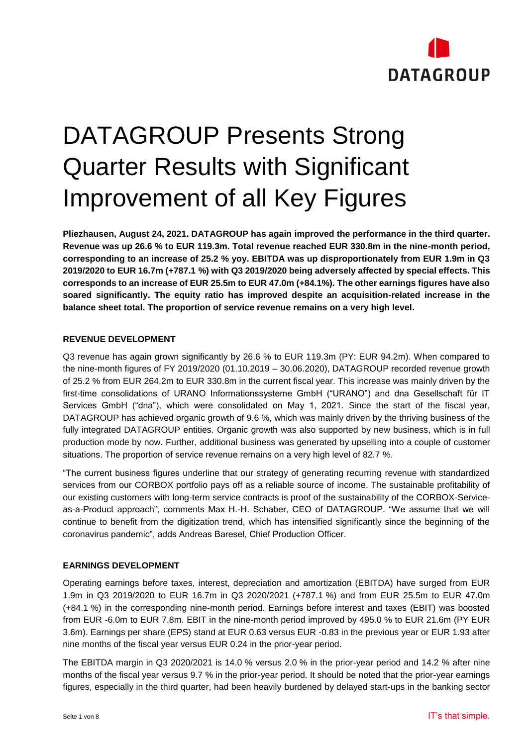

# DATAGROUP Presents Strong Quarter Results with Significant Improvement of all Key Figures

**Pliezhausen, August 24, 2021. DATAGROUP has again improved the performance in the third quarter. Revenue was up 26.6 % to EUR 119.3m. Total revenue reached EUR 330.8m in the nine-month period, corresponding to an increase of 25.2 % yoy. EBITDA was up disproportionately from EUR 1.9m in Q3 2019/2020 to EUR 16.7m (+787.1 %) with Q3 2019/2020 being adversely affected by special effects. This corresponds to an increase of EUR 25.5m to EUR 47.0m (+84.1%). The other earnings figures have also soared significantly. The equity ratio has improved despite an acquisition-related increase in the balance sheet total. The proportion of service revenue remains on a very high level.**

#### **REVENUE DEVELOPMENT**

Q3 revenue has again grown significantly by 26.6 % to EUR 119.3m (PY: EUR 94.2m). When compared to the nine-month figures of FY 2019/2020 (01.10.2019 – 30.06.2020), DATAGROUP recorded revenue growth of 25.2 % from EUR 264.2m to EUR 330.8m in the current fiscal year. This increase was mainly driven by the first-time consolidations of URANO Informationssysteme GmbH ("URANO") and dna Gesellschaft für IT Services GmbH ("dna"), which were consolidated on May 1, 2021. Since the start of the fiscal year, DATAGROUP has achieved organic growth of 9.6 %, which was mainly driven by the thriving business of the fully integrated DATAGROUP entities. Organic growth was also supported by new business, which is in full production mode by now. Further, additional business was generated by upselling into a couple of customer situations. The proportion of service revenue remains on a very high level of 82.7 %.

"The current business figures underline that our strategy of generating recurring revenue with standardized services from our CORBOX portfolio pays off as a reliable source of income. The sustainable profitability of our existing customers with long-term service contracts is proof of the sustainability of the CORBOX-Serviceas-a-Product approach", comments Max H.-H. Schaber, CEO of DATAGROUP. "We assume that we will continue to benefit from the digitization trend, which has intensified significantly since the beginning of the coronavirus pandemic", adds Andreas Baresel, Chief Production Officer.

#### **EARNINGS DEVELOPMENT**

Operating earnings before taxes, interest, depreciation and amortization (EBITDA) have surged from EUR 1.9m in Q3 2019/2020 to EUR 16.7m in Q3 2020/2021 (+787.1 %) and from EUR 25.5m to EUR 47.0m (+84.1 %) in the corresponding nine-month period. Earnings before interest and taxes (EBIT) was boosted from EUR -6.0m to EUR 7.8m. EBIT in the nine-month period improved by 495.0 % to EUR 21.6m (PY EUR 3.6m). Earnings per share (EPS) stand at EUR 0.63 versus EUR -0.83 in the previous year or EUR 1.93 after nine months of the fiscal year versus EUR 0.24 in the prior-year period.

The EBITDA margin in Q3 2020/2021 is 14.0 % versus 2.0 % in the prior-year period and 14.2 % after nine months of the fiscal year versus 9.7 % in the prior-year period. It should be noted that the prior-year earnings figures, especially in the third quarter, had been heavily burdened by delayed start-ups in the banking sector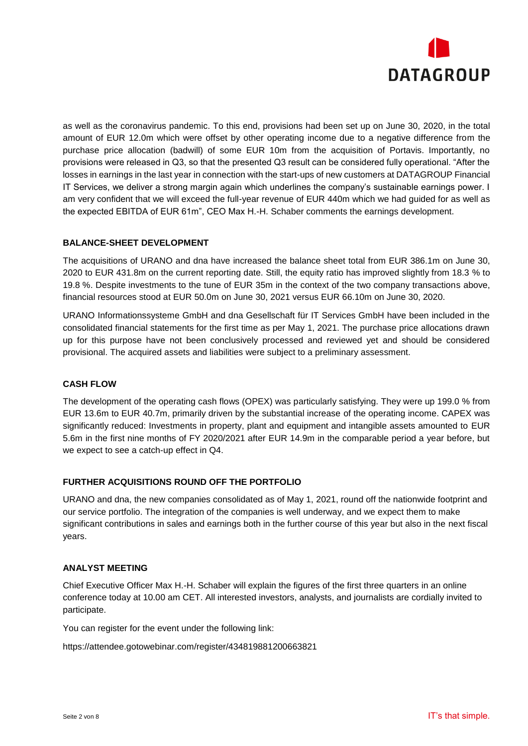

as well as the coronavirus pandemic. To this end, provisions had been set up on June 30, 2020, in the total amount of EUR 12.0m which were offset by other operating income due to a negative difference from the purchase price allocation (badwill) of some EUR 10m from the acquisition of Portavis. Importantly, no provisions were released in Q3, so that the presented Q3 result can be considered fully operational. "After the losses in earnings in the last year in connection with the start-ups of new customers at DATAGROUP Financial IT Services, we deliver a strong margin again which underlines the company's sustainable earnings power. I am very confident that we will exceed the full-year revenue of EUR 440m which we had guided for as well as the expected EBITDA of EUR 61m", CEO Max H.-H. Schaber comments the earnings development.

#### **BALANCE-SHEET DEVELOPMENT**

The acquisitions of URANO and dna have increased the balance sheet total from EUR 386.1m on June 30, 2020 to EUR 431.8m on the current reporting date. Still, the equity ratio has improved slightly from 18.3 % to 19.8 %. Despite investments to the tune of EUR 35m in the context of the two company transactions above, financial resources stood at EUR 50.0m on June 30, 2021 versus EUR 66.10m on June 30, 2020.

URANO Informationssysteme GmbH and dna Gesellschaft für IT Services GmbH have been included in the consolidated financial statements for the first time as per May 1, 2021. The purchase price allocations drawn up for this purpose have not been conclusively processed and reviewed yet and should be considered provisional. The acquired assets and liabilities were subject to a preliminary assessment.

#### **CASH FLOW**

The development of the operating cash flows (OPEX) was particularly satisfying. They were up 199.0 % from EUR 13.6m to EUR 40.7m, primarily driven by the substantial increase of the operating income. CAPEX was significantly reduced: Investments in property, plant and equipment and intangible assets amounted to EUR 5.6m in the first nine months of FY 2020/2021 after EUR 14.9m in the comparable period a year before, but we expect to see a catch-up effect in Q4.

#### **FURTHER ACQUISITIONS ROUND OFF THE PORTFOLIO**

URANO and dna, the new companies consolidated as of May 1, 2021, round off the nationwide footprint and our service portfolio. The integration of the companies is well underway, and we expect them to make significant contributions in sales and earnings both in the further course of this year but also in the next fiscal years.

#### **ANALYST MEETING**

Chief Executive Officer Max H.-H. Schaber will explain the figures of the first three quarters in an online conference today at 10.00 am CET. All interested investors, analysts, and journalists are cordially invited to participate.

You can register for the event under the following link:

https://attendee.gotowebinar.com/register/434819881200663821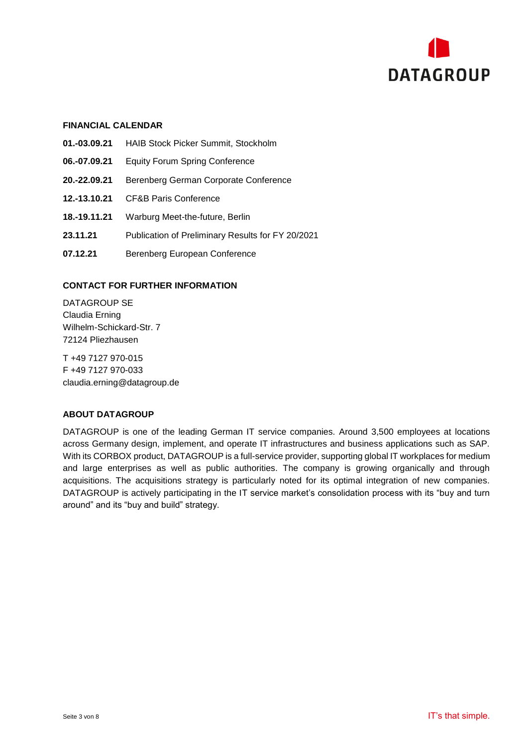

#### **FINANCIAL CALENDAR**

- **01.-03.09.21** HAIB Stock Picker Summit, Stockholm
- **06.-07.09.21** Equity Forum Spring Conference
- **20.-22.09.21** Berenberg German Corporate Conference
- **12.-13.10.21** CF&B Paris Conference
- **18.-19.11.21** Warburg Meet-the-future, Berlin
- **23.11.21** Publication of Preliminary Results for FY 20/2021
- **07.12.21** Berenberg European Conference

#### **CONTACT FOR FURTHER INFORMATION**

DATAGROUP SE Claudia Erning Wilhelm-Schickard-Str. 7 72124 Pliezhausen

T +49 7127 970-015 F +49 7127 970-033 [claudia.erning@datagroup.de](mailto:claudia.erning@datagroup.de)

#### **ABOUT DATAGROUP**

DATAGROUP is one of the leading German IT service companies. Around 3,500 employees at locations across Germany design, implement, and operate IT infrastructures and business applications such as SAP. With its CORBOX product, DATAGROUP is a full-service provider, supporting global IT workplaces for medium and large enterprises as well as public authorities. The company is growing organically and through acquisitions. The acquisitions strategy is particularly noted for its optimal integration of new companies. DATAGROUP is actively participating in the IT service market's consolidation process with its "buy and turn around" and its "buy and build" strategy.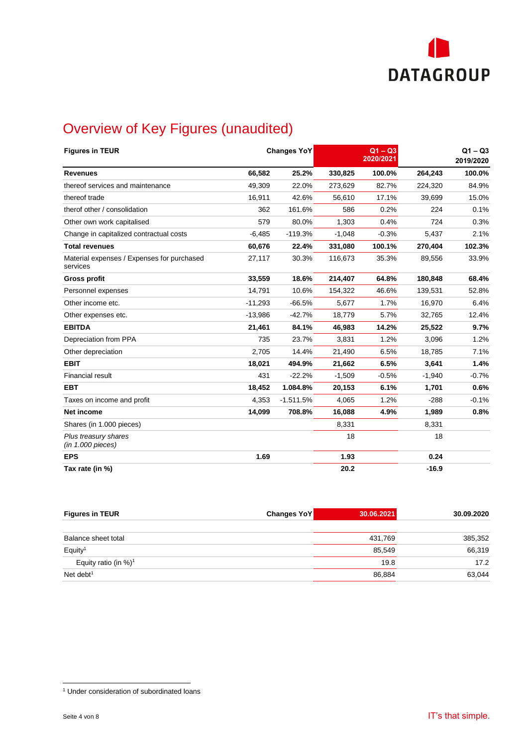

# Overview of Key Figures (unaudited)

| <b>Figures in TEUR</b>                                 |           | <b>Changes YoY</b> |          | $Q1 - Q3$<br>2020/2021 |          | $Q1 - Q3$<br>2019/2020 |
|--------------------------------------------------------|-----------|--------------------|----------|------------------------|----------|------------------------|
| <b>Revenues</b>                                        | 66,582    | 25.2%              | 330,825  | 100.0%                 | 264,243  | 100.0%                 |
| thereof services and maintenance                       | 49,309    | 22.0%              | 273,629  | 82.7%                  | 224,320  | 84.9%                  |
| thereof trade                                          | 16.911    | 42.6%              | 56,610   | 17.1%                  | 39.699   | 15.0%                  |
| therof other / consolidation                           | 362       | 161.6%             | 586      | 0.2%                   | 224      | 0.1%                   |
| Other own work capitalised                             | 579       | 80.0%              | 1,303    | 0.4%                   | 724      | 0.3%                   |
| Change in capitalized contractual costs                | $-6,485$  | $-119.3%$          | $-1,048$ | $-0.3%$                | 5,437    | 2.1%                   |
| <b>Total revenues</b>                                  | 60,676    | 22.4%              | 331,080  | 100.1%                 | 270,404  | 102.3%                 |
| Material expenses / Expenses for purchased<br>services | 27,117    | 30.3%              | 116,673  | 35.3%                  | 89,556   | 33.9%                  |
| <b>Gross profit</b>                                    | 33,559    | 18.6%              | 214,407  | 64.8%                  | 180,848  | 68.4%                  |
| Personnel expenses                                     | 14,791    | 10.6%              | 154,322  | 46.6%                  | 139,531  | 52.8%                  |
| Other income etc.                                      | $-11,293$ | $-66.5%$           | 5,677    | 1.7%                   | 16,970   | 6.4%                   |
| Other expenses etc.                                    | $-13,986$ | $-42.7%$           | 18,779   | 5.7%                   | 32,765   | 12.4%                  |
| <b>EBITDA</b>                                          | 21,461    | 84.1%              | 46,983   | 14.2%                  | 25,522   | 9.7%                   |
| Depreciation from PPA                                  | 735       | 23.7%              | 3,831    | 1.2%                   | 3,096    | 1.2%                   |
| Other depreciation                                     | 2,705     | 14.4%              | 21,490   | 6.5%                   | 18,785   | 7.1%                   |
| <b>EBIT</b>                                            | 18,021    | 494.9%             | 21,662   | 6.5%                   | 3,641    | 1.4%                   |
| <b>Financial result</b>                                | 431       | $-22.2%$           | $-1,509$ | $-0.5%$                | $-1,940$ | $-0.7%$                |
| <b>EBT</b>                                             | 18,452    | 1.084.8%           | 20,153   | 6.1%                   | 1,701    | 0.6%                   |
| Taxes on income and profit                             | 4,353     | $-1.511.5%$        | 4,065    | 1.2%                   | $-288$   | $-0.1%$                |
| Net income                                             | 14,099    | 708.8%             | 16,088   | 4.9%                   | 1,989    | 0.8%                   |
| Shares (in 1.000 pieces)                               |           |                    | 8,331    |                        | 8,331    |                        |
| Plus treasury shares<br>(in 1.000 pieces)              |           |                    | 18       |                        | 18       |                        |
| <b>EPS</b>                                             | 1.69      |                    | 1.93     |                        | 0.24     |                        |
| Tax rate (in %)                                        |           |                    | 20.2     |                        | $-16.9$  |                        |

| <b>Figures in TEUR</b>              | <b>Changes YoY</b> | 30.06.2021 | 30.09.2020 |
|-------------------------------------|--------------------|------------|------------|
| Balance sheet total                 |                    | 431,769    | 385,352    |
| Equity <sup>1</sup>                 |                    | 85,549     | 66,319     |
| Equity ratio (in $%$ ) <sup>1</sup> |                    | 19.8       | 17.2       |
| Net debt <sup>1</sup>               |                    | 86,884     | 63,044     |

 $\overline{a}$ <sup>1</sup> Under consideration of subordinated loans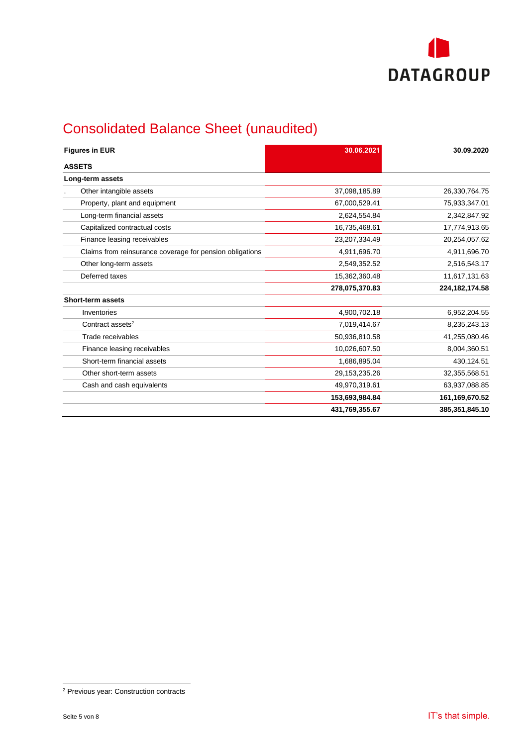

# Consolidated Balance Sheet (unaudited)

| <b>Figures in EUR</b>                                    | 30.06.2021     | 30.09.2020       |
|----------------------------------------------------------|----------------|------------------|
| <b>ASSETS</b>                                            |                |                  |
| Long-term assets                                         |                |                  |
| Other intangible assets                                  | 37,098,185.89  | 26,330,764.75    |
| Property, plant and equipment                            | 67,000,529.41  | 75,933,347.01    |
| Long-term financial assets                               | 2,624,554.84   | 2,342,847.92     |
| Capitalized contractual costs                            | 16,735,468.61  | 17,774,913.65    |
| Finance leasing receivables                              | 23,207,334.49  | 20,254,057.62    |
| Claims from reinsurance coverage for pension obligations | 4,911,696.70   | 4,911,696.70     |
| Other long-term assets                                   | 2,549,352.52   | 2,516,543.17     |
| Deferred taxes                                           | 15,362,360.48  | 11,617,131.63    |
|                                                          | 278,075,370.83 | 224, 182, 174.58 |
| <b>Short-term assets</b>                                 |                |                  |
| Inventories                                              | 4,900,702.18   | 6,952,204.55     |
| Contract assets <sup>2</sup>                             | 7,019,414.67   | 8,235,243.13     |
| Trade receivables                                        | 50,936,810.58  | 41,255,080.46    |
| Finance leasing receivables                              | 10,026,607.50  | 8,004,360.51     |
| Short-term financial assets                              | 1,686,895.04   | 430,124.51       |
| Other short-term assets                                  | 29,153,235.26  | 32,355,568.51    |
| Cash and cash equivalents                                | 49,970,319.61  | 63,937,088.85    |
|                                                          | 153,693,984.84 | 161,169,670.52   |
|                                                          | 431,769,355.67 | 385,351,845.10   |

 $\overline{a}$ 

<sup>&</sup>lt;sup>2</sup> Previous year: Construction contracts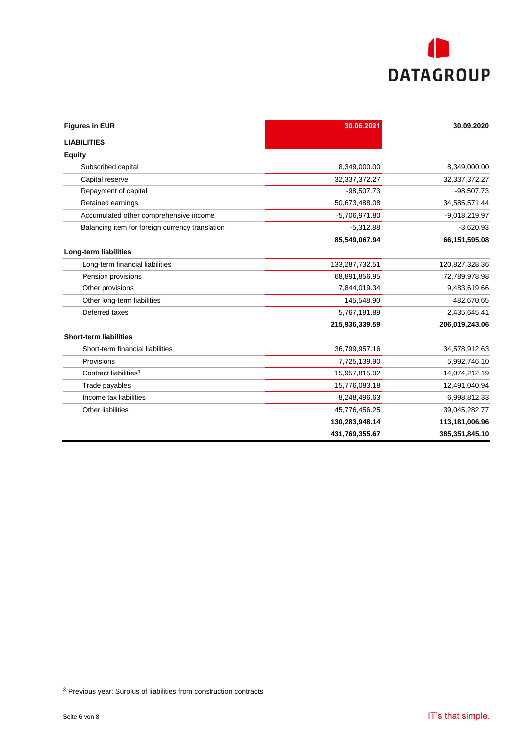

| <b>Figures in EUR</b>                           | 30.06.2021      | 30.09.2020      |
|-------------------------------------------------|-----------------|-----------------|
| <b>LIABILITIES</b>                              |                 |                 |
| <b>Equity</b>                                   |                 |                 |
| Subscribed capital                              | 8,349,000.00    | 8,349,000.00    |
| Capital reserve                                 | 32, 37, 372. 27 | 32, 37, 372. 27 |
| Repayment of capital                            | $-98.507.73$    | $-98,507.73$    |
| Retained earnings                               | 50,673,488.08   | 34,585,571.44   |
| Accumulated other comprehensive income          | $-5,706,971.80$ | $-9,018,219.97$ |
| Balancing item for foreign currency translation | $-5,312.88$     | $-3,620.93$     |
|                                                 | 85,549,067.94   | 66,151,595.08   |
| Long-term liabilities                           |                 |                 |
| Long-term financial liabilities                 | 133,287,732.51  | 120,827,328.36  |
| Pension provisions                              | 68,891,856.95   | 72,789,978.98   |
| Other provisions                                | 7,844,019.34    | 9,483,619.66    |
| Other long-term liabilities                     | 145,548.90      | 482,670.65      |
| Deferred taxes                                  | 5,767,181.89    | 2,435,645.41    |
|                                                 | 215,936,339.59  | 206,019,243.06  |
| <b>Short-term liabilities</b>                   |                 |                 |
| Short-term financial liabilities                | 36,799,957.16   | 34,578,912.63   |
| Provisions                                      | 7,725,139.90    | 5,992,746.10    |
| Contract liabilities <sup>3</sup>               | 15,957,815.02   | 14,074,212.19   |
| Trade payables                                  | 15,776,083.18   | 12,491,040.94   |
| Income tax liabilities                          | 8,248,496.63    | 6,998,812.33    |
| Other liabilities                               | 45,776,456.25   | 39,045,282.77   |
|                                                 | 130,283,948.14  | 113,181,006.96  |
|                                                 | 431,769,355.67  | 385,351,845.10  |

 $3$  Previous year: Surplus of liabilities from construction contracts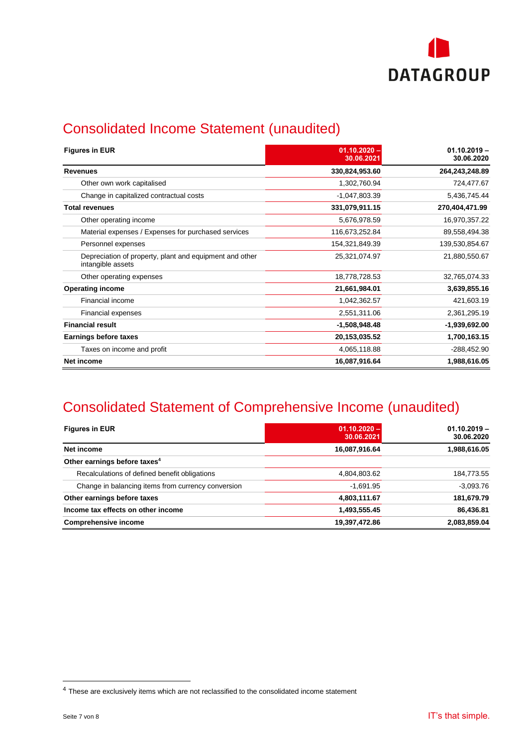

# Consolidated Income Statement (unaudited)

| <b>Figures in EUR</b>                                                        | $01.10.2020 -$<br>30.06.2021 | $01.10.2019 -$<br>30.06.2020 |  |
|------------------------------------------------------------------------------|------------------------------|------------------------------|--|
| <b>Revenues</b>                                                              | 330,824,953.60               | 264,243,248.89               |  |
| Other own work capitalised                                                   | 1,302,760.94                 | 724,477.67                   |  |
| Change in capitalized contractual costs                                      | $-1,047,803.39$              | 5,436,745.44                 |  |
| <b>Total revenues</b>                                                        | 331,079,911.15               | 270,404,471.99               |  |
| Other operating income                                                       | 5,676,978.59                 | 16,970,357.22                |  |
| Material expenses / Expenses for purchased services                          | 116,673,252.84               | 89,558,494.38                |  |
| Personnel expenses                                                           | 154,321,849.39               | 139,530,854.67               |  |
| Depreciation of property, plant and equipment and other<br>intangible assets | 25,321,074.97                | 21,880,550.67                |  |
| Other operating expenses                                                     | 18,778,728.53                | 32,765,074.33                |  |
| <b>Operating income</b>                                                      | 21,661,984.01                | 3,639,855.16                 |  |
| Financial income                                                             | 1,042,362.57                 | 421,603.19                   |  |
| Financial expenses                                                           | 2,551,311.06                 | 2,361,295.19                 |  |
| <b>Financial result</b>                                                      | $-1,508,948.48$              | -1,939,692.00                |  |
| Earnings before taxes                                                        | 20,153,035.52                | 1,700,163.15                 |  |
| Taxes on income and profit                                                   | 4,065,118.88                 | $-288,452.90$                |  |
| Net income                                                                   | 16,087,916.64                | 1,988,616.05                 |  |

# Consolidated Statement of Comprehensive Income (unaudited)

| <b>Figures in EUR</b>                              | $01.10.2020 -$<br>30.06.2021 | $01.10.2019 -$<br>30.06.2020 |
|----------------------------------------------------|------------------------------|------------------------------|
| Net income                                         | 16,087,916.64                | 1,988,616.05                 |
| Other earnings before taxes <sup>4</sup>           |                              |                              |
| Recalculations of defined benefit obligations      | 4,804,803.62                 | 184,773.55                   |
| Change in balancing items from currency conversion | $-1,691.95$                  | $-3.093.76$                  |
| Other earnings before taxes                        | 4,803,111.67                 | 181,679.79                   |
| Income tax effects on other income                 | 1,493,555.45                 | 86,436.81                    |
| <b>Comprehensive income</b>                        | 19,397,472.86                | 2,083,859.04                 |

 $\overline{a}$ 

<sup>&</sup>lt;sup>4</sup> These are exclusively items which are not reclassified to the consolidated income statement